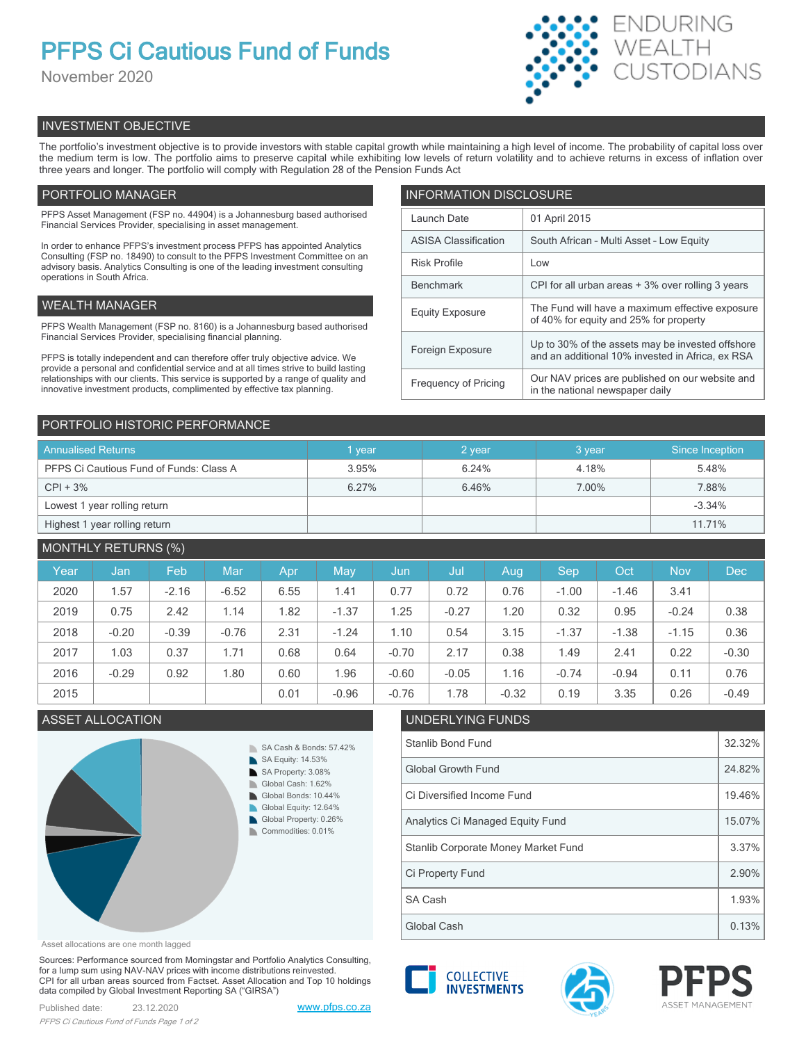# **PFPS Ci Cautious Fund of Funds**

November 2020



# INVESTMENT OBJECTIVE

The portfolio's investment objective is to provide investors with stable capital growth while maintaining a high level of income. The probability of capital loss over the medium term is low. The portfolio aims to preserve capital while exhibiting low levels of return volatility and to achieve returns in excess of inflation over three years and longer. The portfolio will comply with Regulation 28 of the Pension Funds Act

# PORTFOLIO MANAGER

PFPS Asset Management (FSP no. 44904) is a Johannesburg based authorised Financial Services Provider, specialising in asset management.

In order to enhance PFPS's investment process PFPS has appointed Analytics Consulting (FSP no. 18490) to consult to the PFPS Investment Committee on an advisory basis. Analytics Consulting is one of the leading investment consulting operations in South Africa.

# WEALTH MANAGER

PFPS Wealth Management (FSP no. 8160) is a Johannesburg based authorised Financial Services Provider, specialising financial planning.

PFPS is totally independent and can therefore offer truly objective advice. We provide a personal and confidential service and at all times strive to build lasting relationships with our clients. This service is supported by a range of quality and innovative investment products, complimented by effective tax planning.

| <b>INFORMATION DISCLOSURE</b> |                                                                                                      |  |  |  |
|-------------------------------|------------------------------------------------------------------------------------------------------|--|--|--|
| Launch Date                   | 01 April 2015                                                                                        |  |  |  |
| <b>ASISA Classification</b>   | South African - Multi Asset - Low Equity                                                             |  |  |  |
| <b>Risk Profile</b>           | Low                                                                                                  |  |  |  |
| <b>Benchmark</b>              | CPI for all urban areas + 3% over rolling 3 years                                                    |  |  |  |
| <b>Equity Exposure</b>        | The Fund will have a maximum effective exposure<br>of 40% for equity and 25% for property            |  |  |  |
| Foreign Exposure              | Up to 30% of the assets may be invested offshore<br>and an additional 10% invested in Africa, ex RSA |  |  |  |
| <b>Frequency of Pricing</b>   | Our NAV prices are published on our website and<br>in the national newspaper daily                   |  |  |  |

# PORTFOLIO HISTORIC PERFORMANCE

| <b>Annualised Returns</b>               | vear  | 2 year | 3 year | Since Inception |
|-----------------------------------------|-------|--------|--------|-----------------|
| PFPS Ci Cautious Fund of Funds: Class A | 3.95% | 6.24%  | 4.18%  | 5.48%           |
| $CPI + 3%$                              | 6.27% | 6.46%  | 7.00%  | 7.88%           |
| Lowest 1 year rolling return            |       |        |        | $-3.34%$        |
| Highest 1 year rolling return           |       |        |        | 11.71%          |

# MONTHLY RETURNS (%)

| Year | Jan     | Feb     | Mar     | Apr  | May     | Jun     | Jul     | Aug.    | Sep     | Oct     | <b>Nov</b> | <b>Dec</b> |
|------|---------|---------|---------|------|---------|---------|---------|---------|---------|---------|------------|------------|
| 2020 | 1.57    | $-2.16$ | $-6.52$ | 6.55 | 1.41    | 0.77    | 0.72    | 0.76    | $-1.00$ | $-1.46$ | 3.41       |            |
| 2019 | 0.75    | 2.42    | 1.14    | 1.82 | $-1.37$ | 1.25    | $-0.27$ | 1.20    | 0.32    | 0.95    | $-0.24$    | 0.38       |
| 2018 | $-0.20$ | $-0.39$ | $-0.76$ | 2.31 | $-1.24$ | 1.10    | 0.54    | 3.15    | $-1.37$ | $-1.38$ | $-1.15$    | 0.36       |
| 2017 | 1.03    | 0.37    | 1.71    | 0.68 | 0.64    | $-0.70$ | 2.17    | 0.38    | 1.49    | 2.41    | 0.22       | $-0.30$    |
| 2016 | $-0.29$ | 0.92    | 1.80    | 0.60 | 1.96    | $-0.60$ | $-0.05$ | 1.16    | $-0.74$ | $-0.94$ | 0.11       | 0.76       |
| 2015 |         |         |         | 0.01 | $-0.96$ | $-0.76$ | 1.78    | $-0.32$ | 0.19    | 3.35    | 0.26       | $-0.49$    |

# **ASSET ALLOCATION**



| UNDERLYING FUNDS                    |        |  |  |
|-------------------------------------|--------|--|--|
| <b>Stanlib Bond Fund</b>            |        |  |  |
| <b>Global Growth Fund</b>           | 24.82% |  |  |
| Ci Diversified Income Fund          | 19.46% |  |  |
| Analytics Ci Managed Equity Fund    | 15.07% |  |  |
| Stanlib Corporate Money Market Fund |        |  |  |
| Ci Property Fund                    | 2.90%  |  |  |
| SA Cash                             | 1.93%  |  |  |
| Global Cash                         | 0.13%  |  |  |

Asset allocations are one month lagged

Sources: Performance sourced from Morningstar and Portfolio Analytics Consulting, for a lump sum using NAV-NAV prices with income distributions reinvested. CPI for all urban areas sourced from Factset. Asset Allocation and Top 10 holdings data compiled by Global Investment Reporting SA ("GIRSA")

Published date: 23.12.2020 [www.pfps.co.za](https://www.pfps.co.za/) *PFPS Ci Cautious Fund of Funds Page 1 of 2*